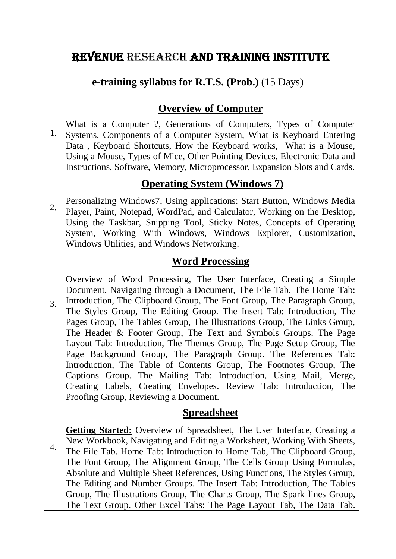# REVENUE RESEARCH AND TRAINING INSTITUTE

## **e-training syllabus for R.T.S. (Prob.)** (15 Days)

## **Overview of Computer**

1. What is a Computer ?, Generations of Computers, Types of Computer Systems, Components of a Computer System, What is Keyboard Entering Data , Keyboard Shortcuts, How the Keyboard works, What is a Mouse, Using a Mouse, Types of Mice, Other Pointing Devices, Electronic Data and Instructions, Software, Memory, Microprocessor, Expansion Slots and Cards.

### **Operating System (Windows 7)**

2. Personalizing Windows7, Using applications: Start Button, Windows Media Player, Paint, Notepad, WordPad, and Calculator, Working on the Desktop, Using the Taskbar, Snipping Tool, Sticky Notes, Concepts of Operating System, Working With Windows, Windows Explorer, Customization, Windows Utilities, and Windows Networking.

### **Word Processing**

3. Overview of Word Processing, The User Interface, Creating a Simple Document, Navigating through a Document, The File Tab. The Home Tab: Introduction, The Clipboard Group, The Font Group, The Paragraph Group, The Styles Group, The Editing Group. The Insert Tab: Introduction, The Pages Group, The Tables Group, The Illustrations Group, The Links Group, The Header & Footer Group, The Text and Symbols Groups. The Page Layout Tab: Introduction, The Themes Group, The Page Setup Group, The Page Background Group, The Paragraph Group. The References Tab: Introduction, The Table of Contents Group, The Footnotes Group, The Captions Group. The Mailing Tab: Introduction, Using Mail, Merge, Creating Labels, Creating Envelopes. Review Tab: Introduction, The Proofing Group, Reviewing a Document.

#### **Spreadsheet**

4. **Getting Started:** Overview of Spreadsheet, The User Interface, Creating a New Workbook, Navigating and Editing a Worksheet, Working With Sheets, The File Tab. Home Tab: Introduction to Home Tab, The Clipboard Group, The Font Group, The Alignment Group, The Cells Group Using Formulas, Absolute and Multiple Sheet References, Using Functions, The Styles Group, The Editing and Number Groups. The Insert Tab: Introduction, The Tables Group, The Illustrations Group, The Charts Group, The Spark lines Group, The Text Group. Other Excel Tabs: The Page Layout Tab, The Data Tab.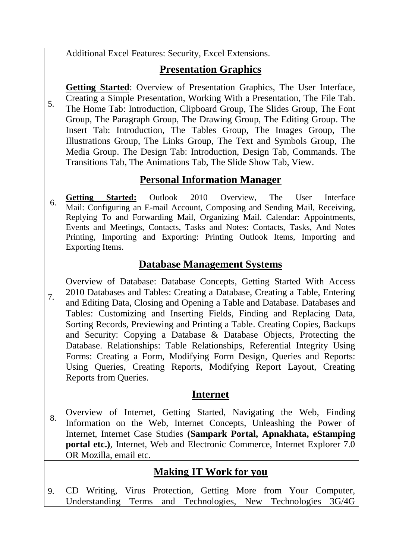|    | Additional Excel Features: Security, Excel Extensions.                                                                                                                                                                                                                                                                                                                                                                                                                                                                                                                                                                                                                                                           |
|----|------------------------------------------------------------------------------------------------------------------------------------------------------------------------------------------------------------------------------------------------------------------------------------------------------------------------------------------------------------------------------------------------------------------------------------------------------------------------------------------------------------------------------------------------------------------------------------------------------------------------------------------------------------------------------------------------------------------|
| 5. | <b>Presentation Graphics</b>                                                                                                                                                                                                                                                                                                                                                                                                                                                                                                                                                                                                                                                                                     |
|    | <b>Getting Started:</b> Overview of Presentation Graphics, The User Interface,<br>Creating a Simple Presentation, Working With a Presentation, The File Tab.<br>The Home Tab: Introduction, Clipboard Group, The Slides Group, The Font<br>Group, The Paragraph Group, The Drawing Group, The Editing Group. The<br>Insert Tab: Introduction, The Tables Group, The Images Group, The<br>Illustrations Group, The Links Group, The Text and Symbols Group, The<br>Media Group. The Design Tab: Introduction, Design Tab, Commands. The<br>Transitions Tab, The Animations Tab, The Slide Show Tab, View.                                                                                                         |
|    | <b>Personal Information Manager</b>                                                                                                                                                                                                                                                                                                                                                                                                                                                                                                                                                                                                                                                                              |
| 6. | Outlook 2010<br>Overview,<br>The<br><b>Started:</b><br>Interface<br><b>Getting</b><br>User<br>Mail: Configuring an E-mail Account, Composing and Sending Mail, Receiving,<br>Replying To and Forwarding Mail, Organizing Mail. Calendar: Appointments,<br>Events and Meetings, Contacts, Tasks and Notes: Contacts, Tasks, And Notes<br>Printing, Importing and Exporting: Printing Outlook Items, Importing and<br>Exporting Items.                                                                                                                                                                                                                                                                             |
| 7. | <b>Database Management Systems</b>                                                                                                                                                                                                                                                                                                                                                                                                                                                                                                                                                                                                                                                                               |
|    | Overview of Database: Database Concepts, Getting Started With Access<br>2010 Databases and Tables: Creating a Database, Creating a Table, Entering<br>and Editing Data, Closing and Opening a Table and Database. Databases and<br>Tables: Customizing and Inserting Fields, Finding and Replacing Data,<br>Sorting Records, Previewing and Printing a Table. Creating Copies, Backups<br>and Security: Copying a Database & Database Objects, Protecting the<br>Database. Relationships: Table Relationships, Referential Integrity Using<br>Forms: Creating a Form, Modifying Form Design, Queries and Reports:<br>Using Queries, Creating Reports, Modifying Report Layout, Creating<br>Reports from Queries. |
|    | <b>Internet</b>                                                                                                                                                                                                                                                                                                                                                                                                                                                                                                                                                                                                                                                                                                  |
| 8. | Overview of Internet, Getting Started, Navigating the Web, Finding<br>Information on the Web, Internet Concepts, Unleashing the Power of<br>Internet, Internet Case Studies (Sampark Portal, Apnakhata, eStamping<br><b>portal etc.</b> ), Internet, Web and Electronic Commerce, Internet Explorer 7.0<br>OR Mozilla, email etc.                                                                                                                                                                                                                                                                                                                                                                                |
|    | <b>Making IT Work for you</b>                                                                                                                                                                                                                                                                                                                                                                                                                                                                                                                                                                                                                                                                                    |
|    | CD Writing Virus Protection Getting More from Your Computer                                                                                                                                                                                                                                                                                                                                                                                                                                                                                                                                                                                                                                                      |

9. CD Writing, Virus Protection, Getting More from Your Computer, Understanding Terms and Technologies, New Technologies 3G/4G